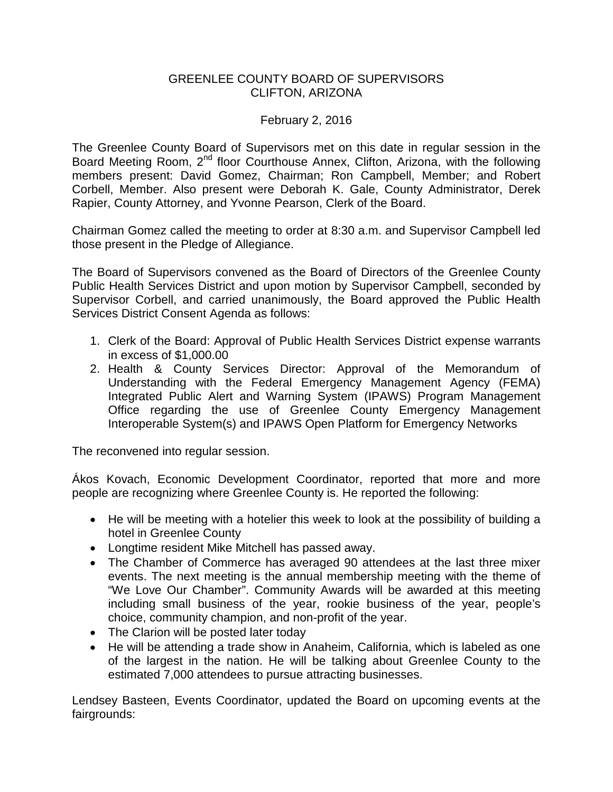## GREENLEE COUNTY BOARD OF SUPERVISORS CLIFTON, ARIZONA

## February 2, 2016

The Greenlee County Board of Supervisors met on this date in regular session in the Board Meeting Room, 2<sup>nd</sup> floor Courthouse Annex, Clifton, Arizona, with the following members present: David Gomez, Chairman; Ron Campbell, Member; and Robert Corbell, Member. Also present were Deborah K. Gale, County Administrator, Derek Rapier, County Attorney, and Yvonne Pearson, Clerk of the Board.

Chairman Gomez called the meeting to order at 8:30 a.m. and Supervisor Campbell led those present in the Pledge of Allegiance.

The Board of Supervisors convened as the Board of Directors of the Greenlee County Public Health Services District and upon motion by Supervisor Campbell, seconded by Supervisor Corbell, and carried unanimously, the Board approved the Public Health Services District Consent Agenda as follows:

- 1. Clerk of the Board: Approval of Public Health Services District expense warrants in excess of \$1,000.00
- 2. Health & County Services Director: Approval of the Memorandum of Understanding with the Federal Emergency Management Agency (FEMA) Integrated Public Alert and Warning System (IPAWS) Program Management Office regarding the use of Greenlee County Emergency Management Interoperable System(s) and IPAWS Open Platform for Emergency Networks

The reconvened into regular session.

Ákos Kovach, Economic Development Coordinator, reported that more and more people are recognizing where Greenlee County is. He reported the following:

- He will be meeting with a hotelier this week to look at the possibility of building a hotel in Greenlee County
- Longtime resident Mike Mitchell has passed away.
- The Chamber of Commerce has averaged 90 attendees at the last three mixer events. The next meeting is the annual membership meeting with the theme of "We Love Our Chamber". Community Awards will be awarded at this meeting including small business of the year, rookie business of the year, people's choice, community champion, and non-profit of the year.
- The Clarion will be posted later today
- He will be attending a trade show in Anaheim, California, which is labeled as one of the largest in the nation. He will be talking about Greenlee County to the estimated 7,000 attendees to pursue attracting businesses.

Lendsey Basteen, Events Coordinator, updated the Board on upcoming events at the fairgrounds: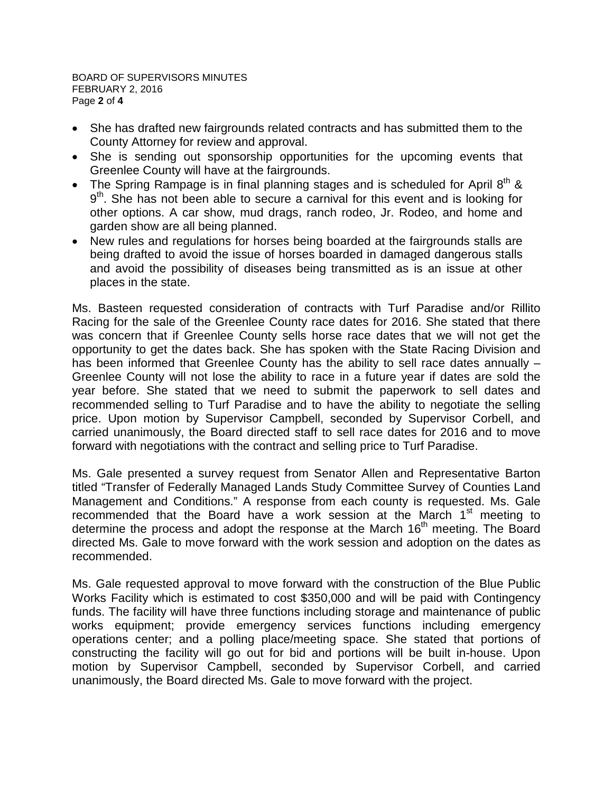BOARD OF SUPERVISORS MINUTES FEBRUARY 2, 2016 Page **2** of **4**

- She has drafted new fairgrounds related contracts and has submitted them to the County Attorney for review and approval.
- She is sending out sponsorship opportunities for the upcoming events that Greenlee County will have at the fairgrounds.
- The Spring Rampage is in final planning stages and is scheduled for April  $8<sup>th</sup>$  &  $9<sup>th</sup>$ . She has not been able to secure a carnival for this event and is looking for other options. A car show, mud drags, ranch rodeo, Jr. Rodeo, and home and garden show are all being planned.
- New rules and regulations for horses being boarded at the fairgrounds stalls are being drafted to avoid the issue of horses boarded in damaged dangerous stalls and avoid the possibility of diseases being transmitted as is an issue at other places in the state.

Ms. Basteen requested consideration of contracts with Turf Paradise and/or Rillito Racing for the sale of the Greenlee County race dates for 2016. She stated that there was concern that if Greenlee County sells horse race dates that we will not get the opportunity to get the dates back. She has spoken with the State Racing Division and has been informed that Greenlee County has the ability to sell race dates annually -Greenlee County will not lose the ability to race in a future year if dates are sold the year before. She stated that we need to submit the paperwork to sell dates and recommended selling to Turf Paradise and to have the ability to negotiate the selling price. Upon motion by Supervisor Campbell, seconded by Supervisor Corbell, and carried unanimously, the Board directed staff to sell race dates for 2016 and to move forward with negotiations with the contract and selling price to Turf Paradise.

Ms. Gale presented a survey request from Senator Allen and Representative Barton titled "Transfer of Federally Managed Lands Study Committee Survey of Counties Land Management and Conditions." A response from each county is requested. Ms. Gale recommended that the Board have a work session at the March  $1<sup>st</sup>$  meeting to determine the process and adopt the response at the March  $16<sup>th</sup>$  meeting. The Board directed Ms. Gale to move forward with the work session and adoption on the dates as recommended.

Ms. Gale requested approval to move forward with the construction of the Blue Public Works Facility which is estimated to cost \$350,000 and will be paid with Contingency funds. The facility will have three functions including storage and maintenance of public works equipment; provide emergency services functions including emergency operations center; and a polling place/meeting space. She stated that portions of constructing the facility will go out for bid and portions will be built in-house. Upon motion by Supervisor Campbell, seconded by Supervisor Corbell, and carried unanimously, the Board directed Ms. Gale to move forward with the project.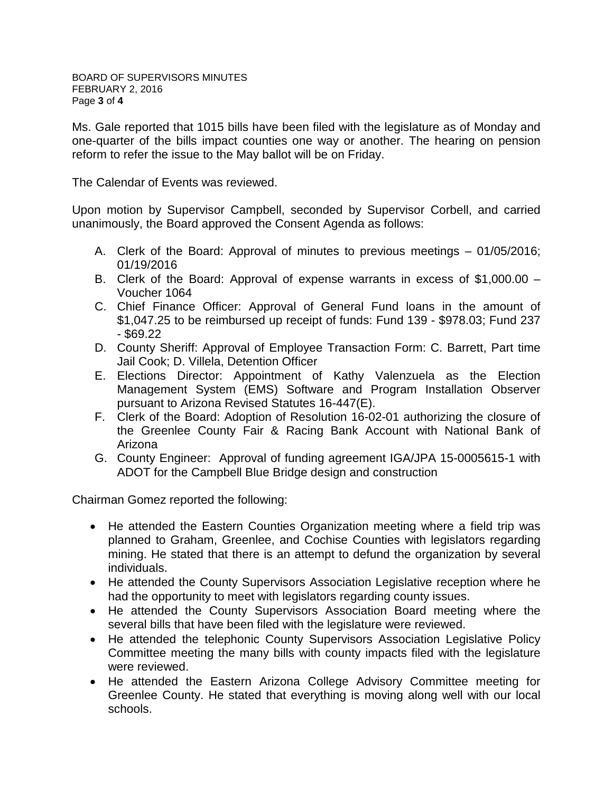Ms. Gale reported that 1015 bills have been filed with the legislature as of Monday and one-quarter of the bills impact counties one way or another. The hearing on pension reform to refer the issue to the May ballot will be on Friday.

The Calendar of Events was reviewed.

Upon motion by Supervisor Campbell, seconded by Supervisor Corbell, and carried unanimously, the Board approved the Consent Agenda as follows:

- A. Clerk of the Board: Approval of minutes to previous meetings 01/05/2016; 01/19/2016
- B. Clerk of the Board: Approval of expense warrants in excess of \$1,000.00 Voucher 1064
- C. Chief Finance Officer: Approval of General Fund loans in the amount of \$1,047.25 to be reimbursed up receipt of funds: Fund 139 - \$978.03; Fund 237  $-$  \$69.22
- D. County Sheriff: Approval of Employee Transaction Form: C. Barrett, Part time Jail Cook; D. Villela, Detention Officer
- E. Elections Director: Appointment of Kathy Valenzuela as the Election Management System (EMS) Software and Program Installation Observer pursuant to Arizona Revised Statutes 16-447(E).
- F. Clerk of the Board: Adoption of Resolution 16-02-01 authorizing the closure of the Greenlee County Fair & Racing Bank Account with National Bank of Arizona
- G. County Engineer: Approval of funding agreement IGA/JPA 15-0005615-1 with ADOT for the Campbell Blue Bridge design and construction

Chairman Gomez reported the following:

- He attended the Eastern Counties Organization meeting where a field trip was planned to Graham, Greenlee, and Cochise Counties with legislators regarding mining. He stated that there is an attempt to defund the organization by several individuals.
- He attended the County Supervisors Association Legislative reception where he had the opportunity to meet with legislators regarding county issues.
- He attended the County Supervisors Association Board meeting where the several bills that have been filed with the legislature were reviewed.
- He attended the telephonic County Supervisors Association Legislative Policy Committee meeting the many bills with county impacts filed with the legislature were reviewed.
- He attended the Eastern Arizona College Advisory Committee meeting for Greenlee County. He stated that everything is moving along well with our local schools.